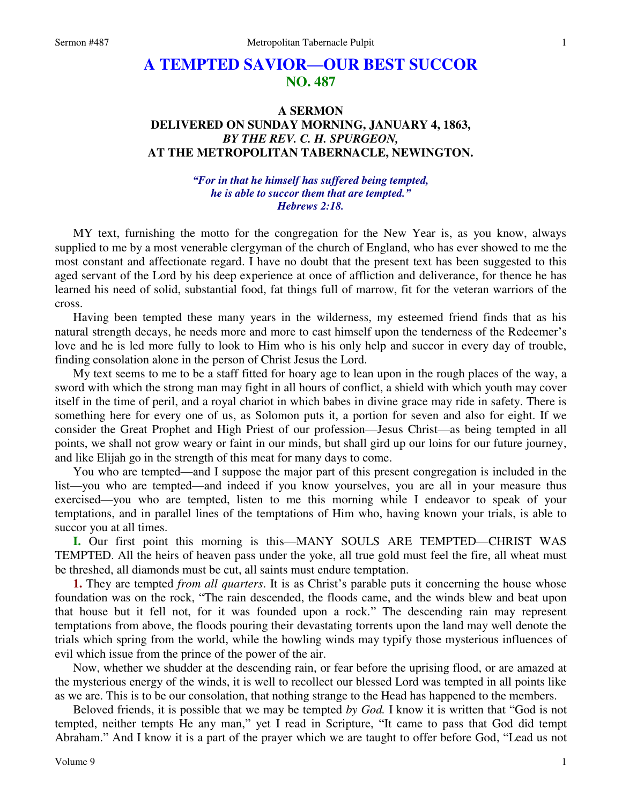## **A TEMPTED SAVIOR—OUR BEST SUCCOR NO. 487**

## **A SERMON DELIVERED ON SUNDAY MORNING, JANUARY 4, 1863,**  *BY THE REV. C. H. SPURGEON,*  **AT THE METROPOLITAN TABERNACLE, NEWINGTON.**

## *"For in that he himself has suffered being tempted, he is able to succor them that are tempted." Hebrews 2:18.*

MY text, furnishing the motto for the congregation for the New Year is, as you know, always supplied to me by a most venerable clergyman of the church of England, who has ever showed to me the most constant and affectionate regard. I have no doubt that the present text has been suggested to this aged servant of the Lord by his deep experience at once of affliction and deliverance, for thence he has learned his need of solid, substantial food, fat things full of marrow, fit for the veteran warriors of the cross.

Having been tempted these many years in the wilderness, my esteemed friend finds that as his natural strength decays, he needs more and more to cast himself upon the tenderness of the Redeemer's love and he is led more fully to look to Him who is his only help and succor in every day of trouble, finding consolation alone in the person of Christ Jesus the Lord.

My text seems to me to be a staff fitted for hoary age to lean upon in the rough places of the way, a sword with which the strong man may fight in all hours of conflict, a shield with which youth may cover itself in the time of peril, and a royal chariot in which babes in divine grace may ride in safety. There is something here for every one of us, as Solomon puts it, a portion for seven and also for eight. If we consider the Great Prophet and High Priest of our profession—Jesus Christ—as being tempted in all points, we shall not grow weary or faint in our minds, but shall gird up our loins for our future journey, and like Elijah go in the strength of this meat for many days to come.

You who are tempted—and I suppose the major part of this present congregation is included in the list—you who are tempted—and indeed if you know yourselves, you are all in your measure thus exercised—you who are tempted, listen to me this morning while I endeavor to speak of your temptations, and in parallel lines of the temptations of Him who, having known your trials, is able to succor you at all times.

**I.** Our first point this morning is this—MANY SOULS ARE TEMPTED—CHRIST WAS TEMPTED. All the heirs of heaven pass under the yoke, all true gold must feel the fire, all wheat must be threshed, all diamonds must be cut, all saints must endure temptation.

**1.** They are tempted *from all quarters*. It is as Christ's parable puts it concerning the house whose foundation was on the rock, "The rain descended, the floods came, and the winds blew and beat upon that house but it fell not, for it was founded upon a rock." The descending rain may represent temptations from above, the floods pouring their devastating torrents upon the land may well denote the trials which spring from the world, while the howling winds may typify those mysterious influences of evil which issue from the prince of the power of the air.

Now, whether we shudder at the descending rain, or fear before the uprising flood, or are amazed at the mysterious energy of the winds, it is well to recollect our blessed Lord was tempted in all points like as we are. This is to be our consolation, that nothing strange to the Head has happened to the members.

Beloved friends, it is possible that we may be tempted *by God.* I know it is written that "God is not tempted, neither tempts He any man," yet I read in Scripture, "It came to pass that God did tempt Abraham." And I know it is a part of the prayer which we are taught to offer before God, "Lead us not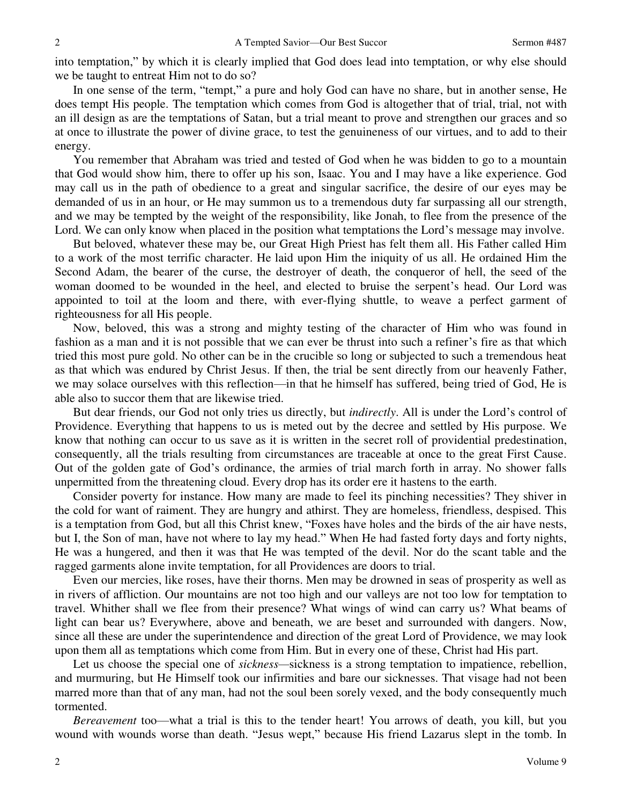into temptation," by which it is clearly implied that God does lead into temptation, or why else should we be taught to entreat Him not to do so?

In one sense of the term, "tempt," a pure and holy God can have no share, but in another sense, He does tempt His people. The temptation which comes from God is altogether that of trial, trial, not with an ill design as are the temptations of Satan, but a trial meant to prove and strengthen our graces and so at once to illustrate the power of divine grace, to test the genuineness of our virtues, and to add to their energy.

You remember that Abraham was tried and tested of God when he was bidden to go to a mountain that God would show him, there to offer up his son, Isaac. You and I may have a like experience. God may call us in the path of obedience to a great and singular sacrifice, the desire of our eyes may be demanded of us in an hour, or He may summon us to a tremendous duty far surpassing all our strength, and we may be tempted by the weight of the responsibility, like Jonah, to flee from the presence of the Lord. We can only know when placed in the position what temptations the Lord's message may involve.

But beloved, whatever these may be, our Great High Priest has felt them all. His Father called Him to a work of the most terrific character. He laid upon Him the iniquity of us all. He ordained Him the Second Adam, the bearer of the curse, the destroyer of death, the conqueror of hell, the seed of the woman doomed to be wounded in the heel, and elected to bruise the serpent's head. Our Lord was appointed to toil at the loom and there, with ever-flying shuttle, to weave a perfect garment of righteousness for all His people.

Now, beloved, this was a strong and mighty testing of the character of Him who was found in fashion as a man and it is not possible that we can ever be thrust into such a refiner's fire as that which tried this most pure gold. No other can be in the crucible so long or subjected to such a tremendous heat as that which was endured by Christ Jesus. If then, the trial be sent directly from our heavenly Father, we may solace ourselves with this reflection—in that he himself has suffered, being tried of God, He is able also to succor them that are likewise tried.

But dear friends, our God not only tries us directly, but *indirectly*. All is under the Lord's control of Providence. Everything that happens to us is meted out by the decree and settled by His purpose. We know that nothing can occur to us save as it is written in the secret roll of providential predestination, consequently, all the trials resulting from circumstances are traceable at once to the great First Cause. Out of the golden gate of God's ordinance, the armies of trial march forth in array. No shower falls unpermitted from the threatening cloud. Every drop has its order ere it hastens to the earth.

Consider poverty for instance. How many are made to feel its pinching necessities? They shiver in the cold for want of raiment. They are hungry and athirst. They are homeless, friendless, despised. This is a temptation from God, but all this Christ knew, "Foxes have holes and the birds of the air have nests, but I, the Son of man, have not where to lay my head." When He had fasted forty days and forty nights, He was a hungered, and then it was that He was tempted of the devil. Nor do the scant table and the ragged garments alone invite temptation, for all Providences are doors to trial.

Even our mercies, like roses, have their thorns. Men may be drowned in seas of prosperity as well as in rivers of affliction. Our mountains are not too high and our valleys are not too low for temptation to travel. Whither shall we flee from their presence? What wings of wind can carry us? What beams of light can bear us? Everywhere, above and beneath, we are beset and surrounded with dangers. Now, since all these are under the superintendence and direction of the great Lord of Providence, we may look upon them all as temptations which come from Him. But in every one of these, Christ had His part.

Let us choose the special one of *sickness*—sickness is a strong temptation to impatience, rebellion, and murmuring, but He Himself took our infirmities and bare our sicknesses. That visage had not been marred more than that of any man, had not the soul been sorely vexed, and the body consequently much tormented.

*Bereavement* too—what a trial is this to the tender heart! You arrows of death, you kill, but you wound with wounds worse than death. "Jesus wept," because His friend Lazarus slept in the tomb. In

2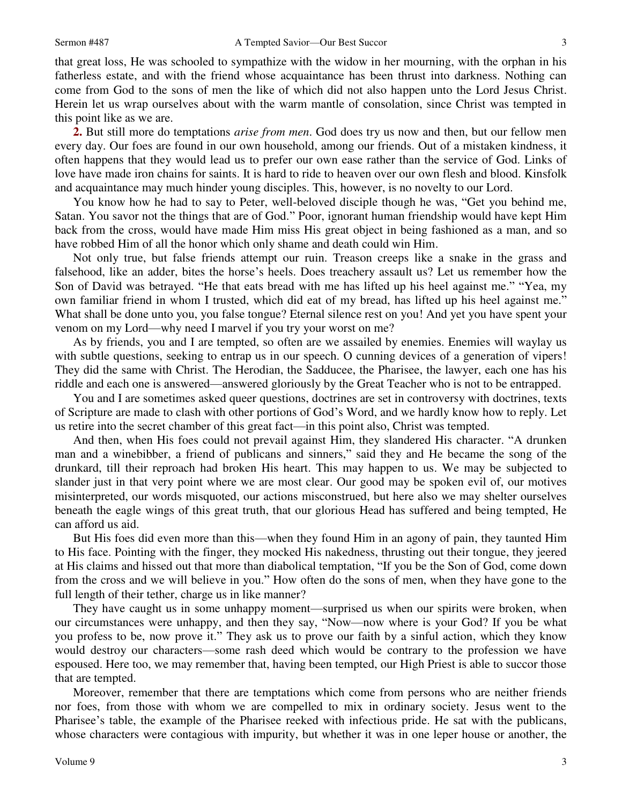that great loss, He was schooled to sympathize with the widow in her mourning, with the orphan in his fatherless estate, and with the friend whose acquaintance has been thrust into darkness. Nothing can come from God to the sons of men the like of which did not also happen unto the Lord Jesus Christ. Herein let us wrap ourselves about with the warm mantle of consolation, since Christ was tempted in this point like as we are.

**2.** But still more do temptations *arise from men*. God does try us now and then, but our fellow men every day. Our foes are found in our own household, among our friends. Out of a mistaken kindness, it often happens that they would lead us to prefer our own ease rather than the service of God. Links of love have made iron chains for saints. It is hard to ride to heaven over our own flesh and blood. Kinsfolk and acquaintance may much hinder young disciples. This, however, is no novelty to our Lord.

You know how he had to say to Peter, well-beloved disciple though he was, "Get you behind me, Satan. You savor not the things that are of God." Poor, ignorant human friendship would have kept Him back from the cross, would have made Him miss His great object in being fashioned as a man, and so have robbed Him of all the honor which only shame and death could win Him.

Not only true, but false friends attempt our ruin. Treason creeps like a snake in the grass and falsehood, like an adder, bites the horse's heels. Does treachery assault us? Let us remember how the Son of David was betrayed. "He that eats bread with me has lifted up his heel against me." "Yea, my own familiar friend in whom I trusted, which did eat of my bread, has lifted up his heel against me." What shall be done unto you, you false tongue? Eternal silence rest on you! And yet you have spent your venom on my Lord—why need I marvel if you try your worst on me?

As by friends, you and I are tempted, so often are we assailed by enemies. Enemies will waylay us with subtle questions, seeking to entrap us in our speech. O cunning devices of a generation of vipers! They did the same with Christ. The Herodian, the Sadducee, the Pharisee, the lawyer, each one has his riddle and each one is answered—answered gloriously by the Great Teacher who is not to be entrapped.

You and I are sometimes asked queer questions, doctrines are set in controversy with doctrines, texts of Scripture are made to clash with other portions of God's Word, and we hardly know how to reply. Let us retire into the secret chamber of this great fact—in this point also, Christ was tempted.

And then, when His foes could not prevail against Him, they slandered His character. "A drunken man and a winebibber, a friend of publicans and sinners," said they and He became the song of the drunkard, till their reproach had broken His heart. This may happen to us. We may be subjected to slander just in that very point where we are most clear. Our good may be spoken evil of, our motives misinterpreted, our words misquoted, our actions misconstrued, but here also we may shelter ourselves beneath the eagle wings of this great truth, that our glorious Head has suffered and being tempted, He can afford us aid.

But His foes did even more than this—when they found Him in an agony of pain, they taunted Him to His face. Pointing with the finger, they mocked His nakedness, thrusting out their tongue, they jeered at His claims and hissed out that more than diabolical temptation, "If you be the Son of God, come down from the cross and we will believe in you." How often do the sons of men, when they have gone to the full length of their tether, charge us in like manner?

They have caught us in some unhappy moment—surprised us when our spirits were broken, when our circumstances were unhappy, and then they say, "Now—now where is your God? If you be what you profess to be, now prove it." They ask us to prove our faith by a sinful action, which they know would destroy our characters—some rash deed which would be contrary to the profession we have espoused. Here too, we may remember that, having been tempted, our High Priest is able to succor those that are tempted.

Moreover, remember that there are temptations which come from persons who are neither friends nor foes, from those with whom we are compelled to mix in ordinary society. Jesus went to the Pharisee's table, the example of the Pharisee reeked with infectious pride. He sat with the publicans, whose characters were contagious with impurity, but whether it was in one leper house or another, the

3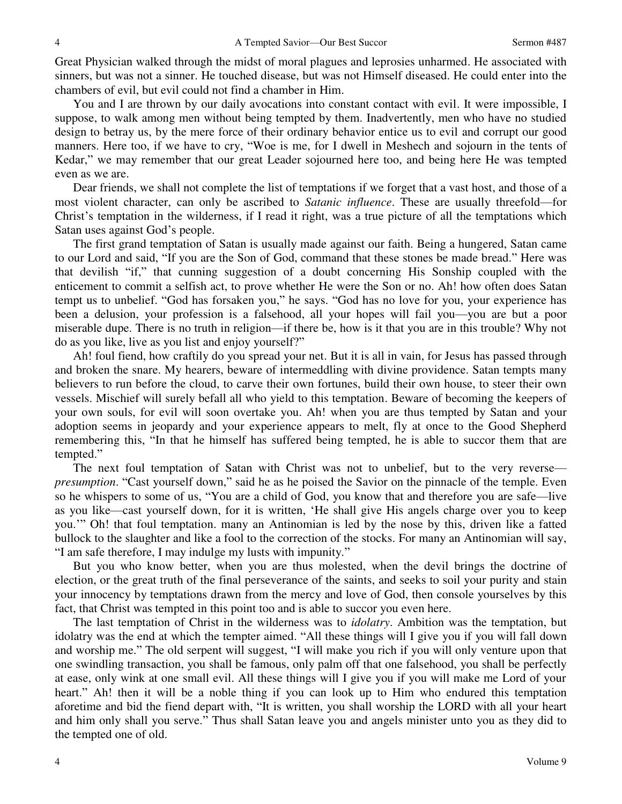Great Physician walked through the midst of moral plagues and leprosies unharmed. He associated with sinners, but was not a sinner. He touched disease, but was not Himself diseased. He could enter into the chambers of evil, but evil could not find a chamber in Him.

You and I are thrown by our daily avocations into constant contact with evil. It were impossible, I suppose, to walk among men without being tempted by them. Inadvertently, men who have no studied design to betray us, by the mere force of their ordinary behavior entice us to evil and corrupt our good manners. Here too, if we have to cry, "Woe is me, for I dwell in Meshech and sojourn in the tents of Kedar," we may remember that our great Leader sojourned here too, and being here He was tempted even as we are.

Dear friends, we shall not complete the list of temptations if we forget that a vast host, and those of a most violent character, can only be ascribed to *Satanic influence*. These are usually threefold—for Christ's temptation in the wilderness, if I read it right, was a true picture of all the temptations which Satan uses against God's people.

The first grand temptation of Satan is usually made against our faith. Being a hungered, Satan came to our Lord and said, "If you are the Son of God, command that these stones be made bread." Here was that devilish "if," that cunning suggestion of a doubt concerning His Sonship coupled with the enticement to commit a selfish act, to prove whether He were the Son or no. Ah! how often does Satan tempt us to unbelief. "God has forsaken you," he says. "God has no love for you, your experience has been a delusion, your profession is a falsehood, all your hopes will fail you—you are but a poor miserable dupe. There is no truth in religion—if there be, how is it that you are in this trouble? Why not do as you like, live as you list and enjoy yourself?"

Ah! foul fiend, how craftily do you spread your net. But it is all in vain, for Jesus has passed through and broken the snare. My hearers, beware of intermeddling with divine providence. Satan tempts many believers to run before the cloud, to carve their own fortunes, build their own house, to steer their own vessels. Mischief will surely befall all who yield to this temptation. Beware of becoming the keepers of your own souls, for evil will soon overtake you. Ah! when you are thus tempted by Satan and your adoption seems in jeopardy and your experience appears to melt, fly at once to the Good Shepherd remembering this, "In that he himself has suffered being tempted, he is able to succor them that are tempted."

The next foul temptation of Satan with Christ was not to unbelief, but to the very reverse *presumption*. "Cast yourself down," said he as he poised the Savior on the pinnacle of the temple. Even so he whispers to some of us, "You are a child of God, you know that and therefore you are safe—live as you like—cast yourself down, for it is written, 'He shall give His angels charge over you to keep you.'" Oh! that foul temptation. many an Antinomian is led by the nose by this, driven like a fatted bullock to the slaughter and like a fool to the correction of the stocks. For many an Antinomian will say, "I am safe therefore, I may indulge my lusts with impunity."

But you who know better, when you are thus molested, when the devil brings the doctrine of election, or the great truth of the final perseverance of the saints, and seeks to soil your purity and stain your innocency by temptations drawn from the mercy and love of God, then console yourselves by this fact, that Christ was tempted in this point too and is able to succor you even here.

The last temptation of Christ in the wilderness was to *idolatry*. Ambition was the temptation, but idolatry was the end at which the tempter aimed. "All these things will I give you if you will fall down and worship me." The old serpent will suggest, "I will make you rich if you will only venture upon that one swindling transaction, you shall be famous, only palm off that one falsehood, you shall be perfectly at ease, only wink at one small evil. All these things will I give you if you will make me Lord of your heart." Ah! then it will be a noble thing if you can look up to Him who endured this temptation aforetime and bid the fiend depart with, "It is written, you shall worship the LORD with all your heart and him only shall you serve." Thus shall Satan leave you and angels minister unto you as they did to the tempted one of old.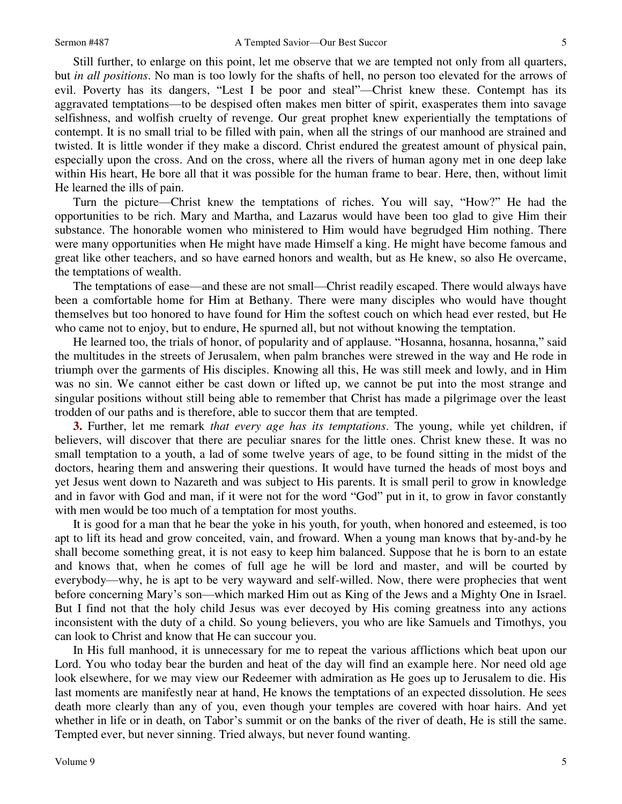5

Still further, to enlarge on this point, let me observe that we are tempted not only from all quarters, but *in all positions*. No man is too lowly for the shafts of hell, no person too elevated for the arrows of evil. Poverty has its dangers, "Lest I be poor and steal"—Christ knew these. Contempt has its aggravated temptations—to be despised often makes men bitter of spirit, exasperates them into savage selfishness, and wolfish cruelty of revenge. Our great prophet knew experientially the temptations of contempt. It is no small trial to be filled with pain, when all the strings of our manhood are strained and twisted. It is little wonder if they make a discord. Christ endured the greatest amount of physical pain, especially upon the cross. And on the cross, where all the rivers of human agony met in one deep lake within His heart, He bore all that it was possible for the human frame to bear. Here, then, without limit He learned the ills of pain.

Turn the picture—Christ knew the temptations of riches. You will say, "How?" He had the opportunities to be rich. Mary and Martha, and Lazarus would have been too glad to give Him their substance. The honorable women who ministered to Him would have begrudged Him nothing. There were many opportunities when He might have made Himself a king. He might have become famous and great like other teachers, and so have earned honors and wealth, but as He knew, so also He overcame, the temptations of wealth.

The temptations of ease—and these are not small—Christ readily escaped. There would always have been a comfortable home for Him at Bethany. There were many disciples who would have thought themselves but too honored to have found for Him the softest couch on which head ever rested, but He who came not to enjoy, but to endure, He spurned all, but not without knowing the temptation.

He learned too, the trials of honor, of popularity and of applause. "Hosanna, hosanna, hosanna," said the multitudes in the streets of Jerusalem, when palm branches were strewed in the way and He rode in triumph over the garments of His disciples. Knowing all this, He was still meek and lowly, and in Him was no sin. We cannot either be cast down or lifted up, we cannot be put into the most strange and singular positions without still being able to remember that Christ has made a pilgrimage over the least trodden of our paths and is therefore, able to succor them that are tempted.

**3.** Further, let me remark *that every age has its temptations*. The young, while yet children, if believers, will discover that there are peculiar snares for the little ones. Christ knew these. It was no small temptation to a youth, a lad of some twelve years of age, to be found sitting in the midst of the doctors, hearing them and answering their questions. It would have turned the heads of most boys and yet Jesus went down to Nazareth and was subject to His parents. It is small peril to grow in knowledge and in favor with God and man, if it were not for the word "God" put in it, to grow in favor constantly with men would be too much of a temptation for most youths.

It is good for a man that he bear the yoke in his youth, for youth, when honored and esteemed, is too apt to lift its head and grow conceited, vain, and froward. When a young man knows that by-and-by he shall become something great, it is not easy to keep him balanced. Suppose that he is born to an estate and knows that, when he comes of full age he will be lord and master, and will be courted by everybody—why, he is apt to be very wayward and self-willed. Now, there were prophecies that went before concerning Mary's son—which marked Him out as King of the Jews and a Mighty One in Israel. But I find not that the holy child Jesus was ever decoyed by His coming greatness into any actions inconsistent with the duty of a child. So young believers, you who are like Samuels and Timothys, you can look to Christ and know that He can succour you.

In His full manhood, it is unnecessary for me to repeat the various afflictions which beat upon our Lord. You who today bear the burden and heat of the day will find an example here. Nor need old age look elsewhere, for we may view our Redeemer with admiration as He goes up to Jerusalem to die. His last moments are manifestly near at hand, He knows the temptations of an expected dissolution. He sees death more clearly than any of you, even though your temples are covered with hoar hairs. And yet whether in life or in death, on Tabor's summit or on the banks of the river of death, He is still the same. Tempted ever, but never sinning. Tried always, but never found wanting.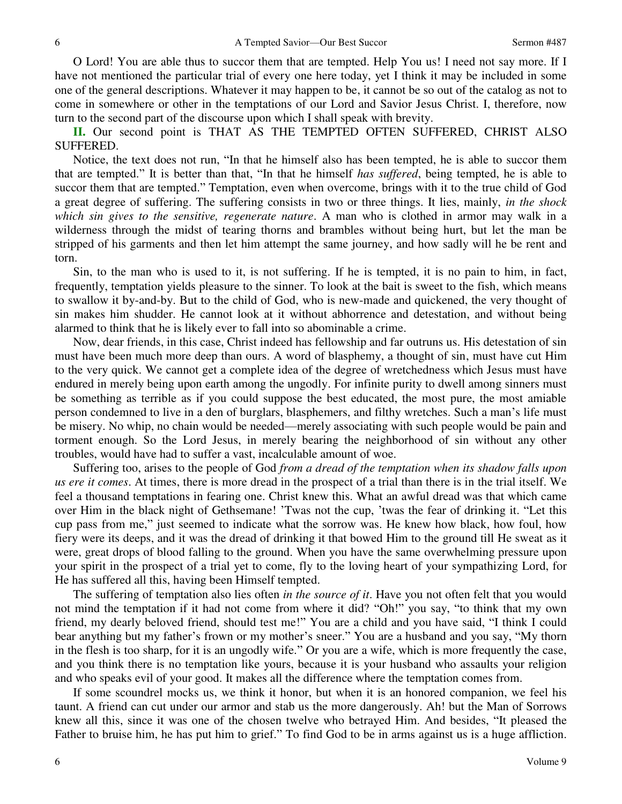O Lord! You are able thus to succor them that are tempted. Help You us! I need not say more. If I have not mentioned the particular trial of every one here today, yet I think it may be included in some one of the general descriptions. Whatever it may happen to be, it cannot be so out of the catalog as not to come in somewhere or other in the temptations of our Lord and Savior Jesus Christ. I, therefore, now turn to the second part of the discourse upon which I shall speak with brevity.

**II.** Our second point is THAT AS THE TEMPTED OFTEN SUFFERED, CHRIST ALSO SUFFERED.

Notice, the text does not run, "In that he himself also has been tempted, he is able to succor them that are tempted." It is better than that, "In that he himself *has suffered*, being tempted, he is able to succor them that are tempted." Temptation, even when overcome, brings with it to the true child of God a great degree of suffering. The suffering consists in two or three things. It lies, mainly, *in the shock which sin gives to the sensitive, regenerate nature*. A man who is clothed in armor may walk in a wilderness through the midst of tearing thorns and brambles without being hurt, but let the man be stripped of his garments and then let him attempt the same journey, and how sadly will he be rent and torn.

Sin, to the man who is used to it, is not suffering. If he is tempted, it is no pain to him, in fact, frequently, temptation yields pleasure to the sinner. To look at the bait is sweet to the fish, which means to swallow it by-and-by. But to the child of God, who is new-made and quickened, the very thought of sin makes him shudder. He cannot look at it without abhorrence and detestation, and without being alarmed to think that he is likely ever to fall into so abominable a crime.

Now, dear friends, in this case, Christ indeed has fellowship and far outruns us. His detestation of sin must have been much more deep than ours. A word of blasphemy, a thought of sin, must have cut Him to the very quick. We cannot get a complete idea of the degree of wretchedness which Jesus must have endured in merely being upon earth among the ungodly. For infinite purity to dwell among sinners must be something as terrible as if you could suppose the best educated, the most pure, the most amiable person condemned to live in a den of burglars, blasphemers, and filthy wretches. Such a man's life must be misery. No whip, no chain would be needed—merely associating with such people would be pain and torment enough. So the Lord Jesus, in merely bearing the neighborhood of sin without any other troubles, would have had to suffer a vast, incalculable amount of woe.

Suffering too, arises to the people of God *from a dread of the temptation when its shadow falls upon us ere it comes*. At times, there is more dread in the prospect of a trial than there is in the trial itself. We feel a thousand temptations in fearing one. Christ knew this. What an awful dread was that which came over Him in the black night of Gethsemane! 'Twas not the cup, 'twas the fear of drinking it. "Let this cup pass from me," just seemed to indicate what the sorrow was. He knew how black, how foul, how fiery were its deeps, and it was the dread of drinking it that bowed Him to the ground till He sweat as it were, great drops of blood falling to the ground. When you have the same overwhelming pressure upon your spirit in the prospect of a trial yet to come, fly to the loving heart of your sympathizing Lord, for He has suffered all this, having been Himself tempted.

The suffering of temptation also lies often *in the source of it*. Have you not often felt that you would not mind the temptation if it had not come from where it did? "Oh!" you say, "to think that my own friend, my dearly beloved friend, should test me!" You are a child and you have said, "I think I could bear anything but my father's frown or my mother's sneer." You are a husband and you say, "My thorn in the flesh is too sharp, for it is an ungodly wife." Or you are a wife, which is more frequently the case, and you think there is no temptation like yours, because it is your husband who assaults your religion and who speaks evil of your good. It makes all the difference where the temptation comes from.

If some scoundrel mocks us, we think it honor, but when it is an honored companion, we feel his taunt. A friend can cut under our armor and stab us the more dangerously. Ah! but the Man of Sorrows knew all this, since it was one of the chosen twelve who betrayed Him. And besides, "It pleased the Father to bruise him, he has put him to grief." To find God to be in arms against us is a huge affliction.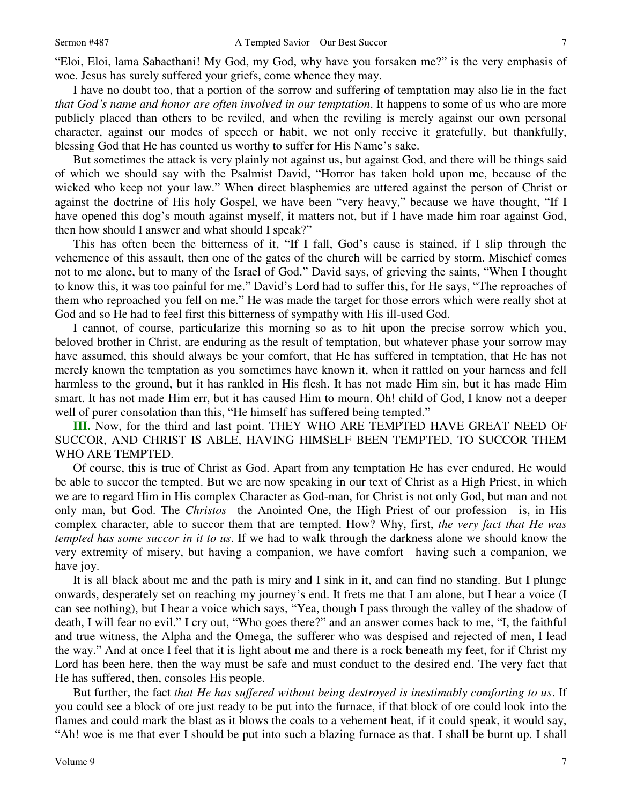I have no doubt too, that a portion of the sorrow and suffering of temptation may also lie in the fact *that God's name and honor are often involved in our temptation*. It happens to some of us who are more publicly placed than others to be reviled, and when the reviling is merely against our own personal character, against our modes of speech or habit, we not only receive it gratefully, but thankfully, blessing God that He has counted us worthy to suffer for His Name's sake.

But sometimes the attack is very plainly not against us, but against God, and there will be things said of which we should say with the Psalmist David, "Horror has taken hold upon me, because of the wicked who keep not your law." When direct blasphemies are uttered against the person of Christ or against the doctrine of His holy Gospel, we have been "very heavy," because we have thought, "If I have opened this dog's mouth against myself, it matters not, but if I have made him roar against God, then how should I answer and what should I speak?"

This has often been the bitterness of it, "If I fall, God's cause is stained, if I slip through the vehemence of this assault, then one of the gates of the church will be carried by storm. Mischief comes not to me alone, but to many of the Israel of God." David says, of grieving the saints, "When I thought to know this, it was too painful for me." David's Lord had to suffer this, for He says, "The reproaches of them who reproached you fell on me." He was made the target for those errors which were really shot at God and so He had to feel first this bitterness of sympathy with His ill-used God.

I cannot, of course, particularize this morning so as to hit upon the precise sorrow which you, beloved brother in Christ, are enduring as the result of temptation, but whatever phase your sorrow may have assumed, this should always be your comfort, that He has suffered in temptation, that He has not merely known the temptation as you sometimes have known it, when it rattled on your harness and fell harmless to the ground, but it has rankled in His flesh. It has not made Him sin, but it has made Him smart. It has not made Him err, but it has caused Him to mourn. Oh! child of God, I know not a deeper well of purer consolation than this, "He himself has suffered being tempted."

**III.** Now, for the third and last point. THEY WHO ARE TEMPTED HAVE GREAT NEED OF SUCCOR, AND CHRIST IS ABLE, HAVING HIMSELF BEEN TEMPTED, TO SUCCOR THEM WHO ARE TEMPTED.

Of course, this is true of Christ as God. Apart from any temptation He has ever endured, He would be able to succor the tempted. But we are now speaking in our text of Christ as a High Priest, in which we are to regard Him in His complex Character as God-man, for Christ is not only God, but man and not only man, but God. The *Christos—*the Anointed One, the High Priest of our profession—is, in His complex character, able to succor them that are tempted. How? Why, first, *the very fact that He was tempted has some succor in it to us*. If we had to walk through the darkness alone we should know the very extremity of misery, but having a companion, we have comfort—having such a companion, we have joy.

It is all black about me and the path is miry and I sink in it, and can find no standing. But I plunge onwards, desperately set on reaching my journey's end. It frets me that I am alone, but I hear a voice (I can see nothing), but I hear a voice which says, "Yea, though I pass through the valley of the shadow of death, I will fear no evil." I cry out, "Who goes there?" and an answer comes back to me, "I, the faithful and true witness, the Alpha and the Omega, the sufferer who was despised and rejected of men, I lead the way." And at once I feel that it is light about me and there is a rock beneath my feet, for if Christ my Lord has been here, then the way must be safe and must conduct to the desired end. The very fact that He has suffered, then, consoles His people.

But further, the fact *that He has suffered without being destroyed is inestimably comforting to us*. If you could see a block of ore just ready to be put into the furnace, if that block of ore could look into the flames and could mark the blast as it blows the coals to a vehement heat, if it could speak, it would say, "Ah! woe is me that ever I should be put into such a blazing furnace as that. I shall be burnt up. I shall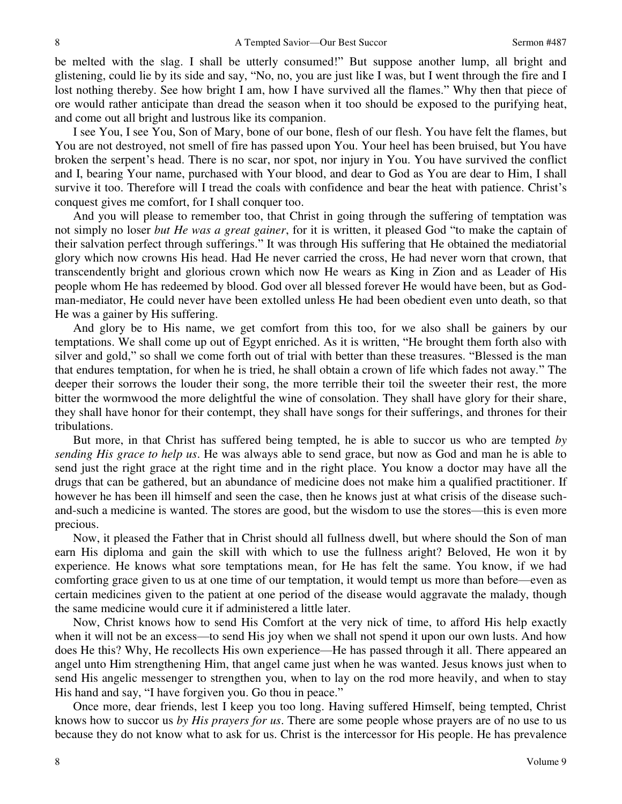be melted with the slag. I shall be utterly consumed!" But suppose another lump, all bright and glistening, could lie by its side and say, "No, no, you are just like I was, but I went through the fire and I lost nothing thereby. See how bright I am, how I have survived all the flames." Why then that piece of ore would rather anticipate than dread the season when it too should be exposed to the purifying heat, and come out all bright and lustrous like its companion.

I see You, I see You, Son of Mary, bone of our bone, flesh of our flesh. You have felt the flames, but You are not destroyed, not smell of fire has passed upon You. Your heel has been bruised, but You have broken the serpent's head. There is no scar, nor spot, nor injury in You. You have survived the conflict and I, bearing Your name, purchased with Your blood, and dear to God as You are dear to Him, I shall survive it too. Therefore will I tread the coals with confidence and bear the heat with patience. Christ's conquest gives me comfort, for I shall conquer too.

And you will please to remember too, that Christ in going through the suffering of temptation was not simply no loser *but He was a great gainer*, for it is written, it pleased God "to make the captain of their salvation perfect through sufferings." It was through His suffering that He obtained the mediatorial glory which now crowns His head. Had He never carried the cross, He had never worn that crown, that transcendently bright and glorious crown which now He wears as King in Zion and as Leader of His people whom He has redeemed by blood. God over all blessed forever He would have been, but as Godman-mediator, He could never have been extolled unless He had been obedient even unto death, so that He was a gainer by His suffering.

And glory be to His name, we get comfort from this too, for we also shall be gainers by our temptations. We shall come up out of Egypt enriched. As it is written, "He brought them forth also with silver and gold," so shall we come forth out of trial with better than these treasures. "Blessed is the man that endures temptation, for when he is tried, he shall obtain a crown of life which fades not away." The deeper their sorrows the louder their song, the more terrible their toil the sweeter their rest, the more bitter the wormwood the more delightful the wine of consolation. They shall have glory for their share, they shall have honor for their contempt, they shall have songs for their sufferings, and thrones for their tribulations.

But more, in that Christ has suffered being tempted, he is able to succor us who are tempted *by sending His grace to help us*. He was always able to send grace, but now as God and man he is able to send just the right grace at the right time and in the right place. You know a doctor may have all the drugs that can be gathered, but an abundance of medicine does not make him a qualified practitioner. If however he has been ill himself and seen the case, then he knows just at what crisis of the disease suchand-such a medicine is wanted. The stores are good, but the wisdom to use the stores—this is even more precious.

Now, it pleased the Father that in Christ should all fullness dwell, but where should the Son of man earn His diploma and gain the skill with which to use the fullness aright? Beloved, He won it by experience. He knows what sore temptations mean, for He has felt the same. You know, if we had comforting grace given to us at one time of our temptation, it would tempt us more than before—even as certain medicines given to the patient at one period of the disease would aggravate the malady, though the same medicine would cure it if administered a little later.

Now, Christ knows how to send His Comfort at the very nick of time, to afford His help exactly when it will not be an excess—to send His joy when we shall not spend it upon our own lusts. And how does He this? Why, He recollects His own experience—He has passed through it all. There appeared an angel unto Him strengthening Him, that angel came just when he was wanted. Jesus knows just when to send His angelic messenger to strengthen you, when to lay on the rod more heavily, and when to stay His hand and say, "I have forgiven you. Go thou in peace."

Once more, dear friends, lest I keep you too long. Having suffered Himself, being tempted, Christ knows how to succor us *by His prayers for us*. There are some people whose prayers are of no use to us because they do not know what to ask for us. Christ is the intercessor for His people. He has prevalence